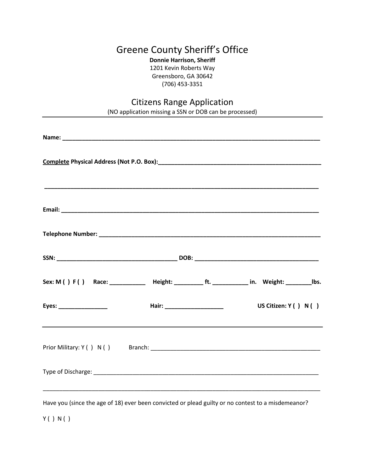## Greene County Sheriff's Office

**Donnie Harrison, Sheriff** 1201 Kevin Roberts Way Greensboro, GA 30642 (706) 453-3351

## Citizens Range Application

(NO application missing a SSN or DOB can be processed) **Name: \_\_\_\_\_\_\_\_\_\_\_\_\_\_\_\_\_\_\_\_\_\_\_\_\_\_\_\_\_\_\_\_\_\_\_\_\_\_\_\_\_\_\_\_\_\_\_\_\_\_\_\_\_\_\_\_\_\_\_\_\_\_\_\_\_\_\_\_\_\_\_\_\_\_\_\_\_\_\_ Complete Physical Address (Not P.O. Box): Complete Physical Address (Not P.O. Box): \_\_\_\_\_\_\_\_\_\_\_\_\_\_\_\_\_\_\_\_\_\_\_\_\_\_\_\_\_\_\_\_\_\_\_\_\_\_\_\_\_\_\_\_\_\_\_\_\_\_\_\_\_\_\_\_\_\_\_\_\_\_\_\_\_\_\_\_\_\_\_\_\_\_\_\_\_\_\_\_\_\_\_\_ Email: \_\_\_\_\_\_\_\_\_\_\_\_\_\_\_\_\_\_\_\_\_\_\_\_\_\_\_\_\_\_\_\_\_\_\_\_\_\_\_\_\_\_\_\_\_\_\_\_\_\_\_\_\_\_\_\_\_\_\_\_\_\_\_\_\_\_\_\_\_\_\_\_\_\_\_\_\_\_\_ Telephone Number: \_\_\_\_\_\_\_\_\_\_\_\_\_\_\_\_\_\_\_\_\_\_\_\_\_\_\_\_\_\_\_\_\_\_\_\_\_\_\_\_\_\_\_\_\_\_\_\_\_\_\_\_\_\_\_\_\_\_\_\_\_\_\_\_\_\_\_\_ SSN: \_\_\_\_\_\_\_\_\_\_\_\_\_\_\_\_\_\_\_\_\_\_\_\_\_\_\_\_\_\_\_\_\_\_\_\_\_ DOB: \_\_\_\_\_\_\_\_\_\_\_\_\_\_\_\_\_\_\_\_\_\_\_\_\_\_\_\_\_\_\_\_\_\_\_\_\_\_** Sex: M ( ) F ( ) Race: \_\_\_\_\_\_\_\_\_\_\_ Height: \_\_\_\_\_\_\_\_\_ ft. \_\_\_\_\_\_\_\_\_\_ in. Weight: \_\_\_\_\_\_\_\_\_ lbs. **Eyes: \_\_\_\_\_\_\_\_\_\_\_\_\_\_\_ Hair: \_\_\_\_\_\_\_\_\_\_\_\_\_\_\_\_\_\_ US Citizen: Y ( ) N ( )** Prior Military: Y ( ) N ( ) Branch: \_\_\_\_\_\_\_\_\_\_\_\_\_\_\_\_\_\_\_\_\_\_\_\_\_\_\_\_\_\_\_\_\_\_\_\_\_\_\_\_\_\_\_\_\_\_\_\_\_\_\_\_ Type of Discharge:  $\Box$ \_\_\_\_\_\_\_\_\_\_\_\_\_\_\_\_\_\_\_\_\_\_\_\_\_\_\_\_\_\_\_\_\_\_\_\_\_\_\_\_\_\_\_\_\_\_\_\_\_\_\_\_\_\_\_\_\_\_\_\_\_\_\_\_\_\_\_\_\_\_\_\_\_\_\_\_\_\_\_\_\_\_\_\_\_

Have you (since the age of 18) ever been convicted or plead guilty or no contest to a misdemeanor?

Y ( ) N ( )